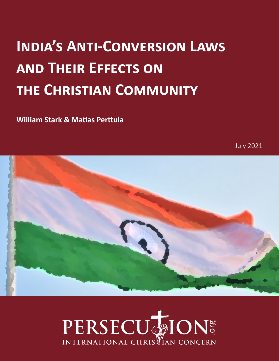# **India's Anti-Conversion Laws and Their Effects on the Christian Community**

**William Stark & Matias Perttula**

July 2021



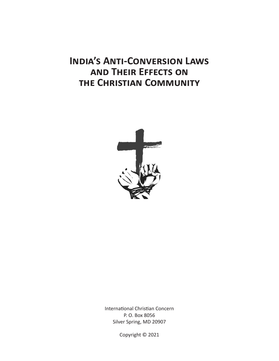# **India's Anti-Conversion Laws and Their Effects on the Christian Community**



International Christian Concern P. O. Box 8056 Silver Spring, MD 20907

Copyright © 2021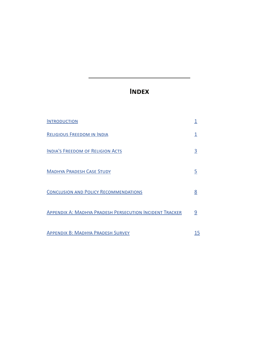# **Index**

| <b>INTRODUCTION</b>                                            |          |
|----------------------------------------------------------------|----------|
| <b>RELIGIOUS FREEDOM IN INDIA</b>                              |          |
| <b>INDIA'S FREEDOM OF RELIGION ACTS</b>                        | 3        |
| <b>MADHYA PRADESH CASE STUDY</b>                               | <u>5</u> |
| <b>CONCLUSION AND POLICY RECOMMENDATIONS</b>                   | 8        |
| <b>APPENDIX A: MADHYA PRADESH PERSECUTION INCIDENT TRACKER</b> | 9        |
| <b>APPENDIX B: MADHYA PRADESH SURVEY</b>                       | 15       |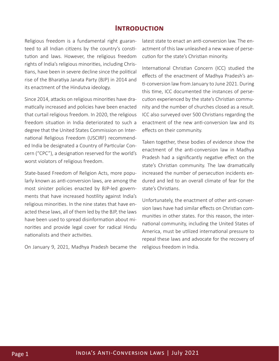#### **Introduction**

Religious freedom is a fundamental right guaranteed to all Indian citizens by the country's constitution and laws. However, the religious freedom rights of India's religious minorities, including Christians, have been in severe decline since the political rise of the Bharatiya Janata Party (BJP) in 2014 and its enactment of the Hindutva ideology.

Since 2014, attacks on religious minorities have dramatically increased and policies have been enacted that curtail religious freedom. In 2020, the religious freedom situation in India deteriorated to such a degree that the United States Commission on International Religious Freedom (USCIRF) recommended India be designated a Country of Particular Concern ("CPC"), a designation reserved for the world's worst violators of religious freedom.

State-based Freedom of Religion Acts, more popularly known as anti-conversion laws, are among the most sinister policies enacted by BJP-led governments that have increased hostility against India's religious minorities. In the nine states that have enacted these laws, all of them led by the BJP, the laws have been used to spread disinformation about minorities and provide legal cover for radical Hindu nationalists and their activities.

On January 9, 2021, Madhya Pradesh became the

latest state to enact an anti-conversion law. The enactment of this law unleashed a new wave of persecution for the state's Christian minority.

International Christian Concern (ICC) studied the effects of the enactment of Madhya Pradesh's anti-conversion law from January to June 2021. During this time, ICC documented the instances of persecution experienced by the state's Christian community and the number of churches closed as a result. ICC also surveyed over 500 Christians regarding the enactment of the new anti-conversion law and its effects on their community.

Taken together, these bodies of evidence show the enactment of the anti-conversion law in Madhya Pradesh had a significantly negative effect on the state's Christian community. The law dramatically increased the number of persecution incidents endured and led to an overall climate of fear for the state's Christians.

Unfortunately, the enactment of other anti-conversion laws have had similar effects on Christian communities in other states. For this reason, the international community, including the United States of America, must be utilized international pressure to repeal these laws and advocate for the recovery of religious freedom in India.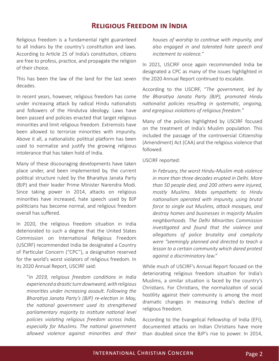#### **Religious Freedom in India**

Religious freedom is a fundamental right guaranteed to all Indians by the country's constitution and laws. According to Article 25 of India's constitution, citizens are free to profess, practice, and propagate the religion of their choice.

This has been the law of the land for the last seven decades.

In recent years, however, religious freedom has come under increasing attack by radical Hindu nationalists and followers of the Hindutva ideology. Laws have been passed and policies enacted that target religious minorities and limit religious freedom. Extremists have been allowed to terrorize minorities with impunity. Above it all, a nationalistic political platform has been used to normalize and justify the growing religious intolerance that has taken hold of India.

Many of these discouraging developments have taken place under, and been implemented by, the current political structure ruled by the Bharatiya Janata Party (BJP) and their leader Prime Minister Narendra Modi. Since taking power in 2014, attacks on religious minorities have increased, hate speech used by BJP politicians has become normal, and religious freedom overall has suffered.

In 2020, the religious freedom situation in India deteriorated to such a degree that the United States Commission on International Religious Freedom (USCIRF) recommended India be designated a Country of Particular Concern ("CPC"), a designation reserved for the world's worst violators of religious freedom. In its 2020 Annual Report, USCIRF said:

"*In 2019, religious freedom conditions in India experienced a drastic turn downward, with religious minorities under increasing assault. Following the Bharatiya Janata Party's (BJP) re-election in May, the national government used its strengthened parliamentary majority to institute national level policies violating religious freedom across India, especially for Muslims. The national government allowed violence against minorities and their* 

*houses of worship to continue with impunity, and also engaged in and tolerated hate speech and incitement to violence.*"

In 2021, USCIRF once again recommended India be designated a CPC as many of the issues highlighted in the 2020 Annual Report continued to escalate.

According to the USCIRF, "*The government, led by the Bharatiya Janata Party (BJP), promoted Hindu nationalist policies resulting in systematic, ongoing, and egregious violations of religious freedom.*"

Many of the policies highlighted by USCIRF focused on the treatment of India's Muslim population. This included the passage of the controversial Citizenship (Amendment) Act (CAA) and the religious violence that followed.

USCIRF reported:

*In February, the worst Hindu-Muslim mob violence in more than three decades erupted in Delhi. More than 50 people died, and 200 others were injured, mostly Muslims. Mobs sympathetic to Hindu nationalism operated with impunity, using brutal force to single out Muslims, attack mosques, and destroy homes and businesses in majority Muslim neighborhoods. The Delhi Minorities Commission investigated and found that the violence and allegations of police brutality and complicity were "seemingly planned and directed to teach a lesson to a certain community which dared protest against a discriminatory law."*

While much of USCIRF's Annual Report focused on the deteriorating religious freedom situation for India's Muslims, a similar situation is faced by the country's Christians. For Christians, the normalization of social hostility against their community is among the most dramatic changes in measuring India's decline of religious freedom.

According to the Evangelical Fellowship of India (EFI), documented attacks on Indian Christians have more than doubled since the BJP's rise to power. In 2014,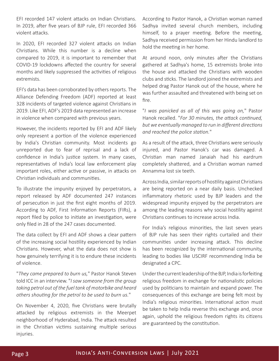EFI recorded 147 violent attacks on Indian Christians. In 2019, after five years of BJP rule, EFI recorded 366 violent attacks.

In 2020, EFI recorded 327 violent attacks on Indian Christians. While this number is a decline when compared to 2019, it is important to remember that COVID-19 lockdowns affected the country for several months and likely suppressed the activities of religious extremists.

EFI's data has been corroborated by others reports. The Alliance Defending Freedom (ADF) reported at least 328 incidents of targeted violence against Christians in 2019. Like EFI, ADF's 2019 data represented an increase in violence when compared with previous years.

However, the incidents reported by EFI and ADF likely only represent a portion of the violence experienced by India's Christian community. Most incidents go unreported due to fear of reprisal and a lack of confidence in India's justice system. In many cases, representatives of India's local law enforcement play important roles, either active or passive, in attacks on Christian individuals and communities.

To illustrate the impunity enjoyed by perpetrators, a report released by ADF documented 247 instances of persecution in just the first eight months of 2019. According to ADF, First Information Reports (FIRs), a report filed by police to initiate an investigation, were only filed in 28 of the 247 cases documented.

The data collect by EFI and ADF shows a clear pattern of the increasing social hostility experienced by Indian Christians. However, what the data does not show is how genuinely terrifying it is to endure these incidents of violence.

"*They came prepared to burn us,*" Pastor Hanok Steven told ICC in an interview. "*I saw someone from the group taking petrol out of the fuel tank of motorbike and heard others shouting for the petrol to be used to burn us.*"

On November 4, 2020, five Christians were brutally attacked by religious extremists in the Meerpet neighborhood of Hyderabad, India. The attack resulted in the Christian victims sustaining multiple serious injuries.

According to Pastor Hanok, a Christian woman named Sadhya invited several church members, including himself, to a prayer meeting. Before the meeting, Sadhya received permission from her Hindu landlord to hold the meeting in her home.

At around noon, only minutes after the Christians gathered at Sadhya's home, 15 extremists broke into the house and attacked the Christians with wooden clubs and sticks. The landlord joined the extremists and helped drag Pastor Hanok out of the house, where he was further assaulted and threatened with being set on fire.

"*I was panicked as all of this was going on,*" Pastor Hanok recalled. "*For 30 minutes, the attack continued, but we eventually managed to run in different directions and reached the police station.*"

As a result of the attack, three Christians were seriously injured, and Pastor Hanok's car was damaged. A Christian man named Janaiah had his eardrum completely shattered, and a Christian woman named Annamma lost six teeth.

Across India, similar reports of hostility against Christians are being reported on a near daily basis. Unchecked inflammatory rhetoric used by BJP leaders and the widespread impunity enjoyed by the perpetrators are among the leading reasons why social hostility against Christians continues to increase across India.

For India's religious minorities, the last seven years of BJP rule has seen their rights curtailed and their communities under increasing attack. This decline has been recognized by the international community, leading to bodies like USCIRF recommending India be designated a CPC.

Under the current leadership of the BJP, India is forfeiting religious freedom in exchange for nationalistic policies used by politicians to maintain and expand power. The consequences of this exchange are being felt most by India's religious minorities. International action must be taken to help India reverse this exchange and, once again, uphold the religious freedom rights its citizens are guaranteed by the constitution.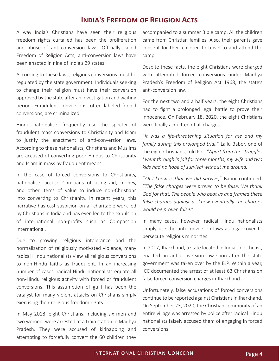#### **India's Freedom of Religion Acts**

A way India's Christians have seen their religious freedom rights curtailed has been the proliferation and abuse of anti-conversion laws. Officially called Freedom of Religion Acts, anti-conversion laws have been enacted in nine of India's 29 states.

According to these laws, religious conversions must be regulated by the state government. Individuals seeking to change their religion must have their conversion approved by the state after an investigation and waiting period. Fraudulent conversions, often labeled forced conversions, are criminalized.

Hindu nationalists frequently use the specter of fraudulent mass conversions to Christianity and Islam to justify the enactment of anti-conversion laws. According to these nationalists, Christians and Muslims are accused of converting poor Hindus to Christianity and Islam in mass by fraudulent means.

In the case of forced conversions to Christianity, nationalists accuse Christians of using aid, money, and other items of value to induce non-Christians into converting to Christianity. In recent years, this narrative has cast suspicion on all charitable work led by Christians in India and has even led to the expulsion of international non-profits such as Compassion International.

Due to growing religious intolerance and the normalization of religiously motivated violence, many radical Hindu nationalists view all religious conversions to non-Hindu faiths as fraudulent. In an increasing number of cases, radical Hindu nationalists equate all non-Hindu religious activity with forced or fraudulent conversions. This assumption of guilt has been the catalyst for many violent attacks on Christians simply exercising their religious freedom rights.

In May 2018, eight Christians, including six men and two women, were arrested at a train station in Madhya Pradesh. They were accused of kidnapping and attempting to forcefully convert the 60 children they accompanied to a summer Bible camp. All the children came from Christian families. Also, their parents gave consent for their children to travel to and attend the camp.

Despite these facts, the eight Christians were charged with attempted forced conversions under Madhya Pradesh's Freedom of Religion Act 1968, the state's anti-conversion law.

For the next two and a half years, the eight Christians had to fight a prolonged legal battle to prove their innocence. On February 18, 2020, the eight Christians were finally acquitted of all charges.

"*It was a life-threatening situation for me and my family during this prolonged trial,*" Lallu Babor, one of the eight Christians, told ICC. "*Apart from the struggles I went through in jail for three months, my wife and two kids had no hope of survival without me around.*"

"*All I know is that we did survive,*" Babor continued. "*The false charges were proven to be false. We thank God for that. The people who beat us and framed these false charges against us knew eventually the charges would be proven false.*"

In many cases, however, radical Hindu nationalists simply use the anti-conversion laws as legal cover to persecute religious minorities.

In 2017, Jharkhand, a state located in India's northeast, enacted an anti-conversion law soon after the state government was taken over by the BJP. Within a year, ICC documented the arrest of at least 63 Christians on false forced conversion charges in Jharkhand.

Unfortunately, false accusations of forced conversions continue to be reported against Christians in Jharkhand. On September 23, 2020, the Christian community of an entire village was arrested by police after radical Hindu nationalists falsely accused them of engaging in forced conversions.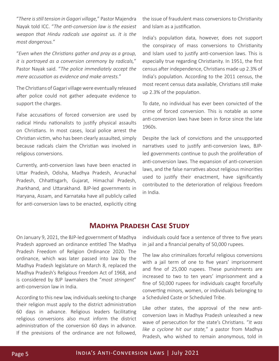"*There is still tension in Gagari village,*" Pastor Majendra Nayak told ICC. "*The anti-conversion law is the easiest weapon that Hindu radicals use against us. It is the most dangerous.*"

"*Even when the Christians gather and pray as a group, it is portrayed as a conversion ceremony by radicals,*" Pastor Nayak said. "*The police immediately accept the mere accusation as evidence and make arrests.*"

The Christians of Gagari village were eventually released after police could not gather adequate evidence to support the charges.

False accusations of forced conversion are used by radical Hindu nationalists to justify physical assaults on Christians. In most cases, local police arrest the Christian victim, who has been clearly assaulted, simply because radicals claim the Christian was involved in religious conversions.

Currently, anti-conversion laws have been enacted in Uttar Pradesh, Odisha, Madhya Pradesh, Arunachal Pradesh, Chhattisgarh, Gujarat, Himachal Pradesh, Jharkhand, and Uttarakhand. BJP-led governments in Haryana, Assam, and Karnataka have all publicly called for anti-conversion laws to be enacted, explicitly citing

the issue of fraudulent mass conversions to Christianity and Islam as a justification.

India's population data, however, does not support the conspiracy of mass conversions to Christianity and Islam used to justify anti-conversion laws. This is especially true regarding Christianity. In 1951, the first census after independence, Christians made up 2.3% of India's population. According to the 2011 census, the most recent census data available, Christians still make up 2.3% of the population.

To date, no individual has ever been convicted of the crime of forced conversion. This is notable as some anti-conversion laws have been in force since the late 1960s.

Despite the lack of convictions and the unsupported narratives used to justify anti-conversion laws, BJPled governments continue to push the proliferation of anti-conversion laws. The expansion of anti-conversion laws, and the false narratives about religious minorities used to justify their enactment, have significantly contributed to the deterioration of religious freedom in India.

### **Madhya Pradesh Case Study**

On January 9, 2021, the BJP-led government of Madhya Pradesh approved an ordinance entitled The Madhya Pradesh Freedom of Religion Ordinance 2020. The ordinance, which was later passed into law by the Madhya Pradesh legislature on March 8, replaced the Madhya Pradesh's Religious Freedom Act of 1968, and is considered by BJP lawmakers the "*most stringent*" anti-conversion law in India.

According to this new law, individuals seeking to change their religion must apply to the district administration 60 days in advance. Religious leaders facilitating religious conversions also must inform the district administration of the conversion 60 days in advance. If the previsions of the ordinance are not followed, individuals could face a sentence of three to five years in jail and a financial penalty of 50,000 rupees.

The law also criminalizes forceful religious conversions with a jail term of one to five years' imprisonment and fine of 25,000 rupees. These punishments are increased to two to ten years' imprisonment and a fine of 50,000 rupees for individuals caught forcefully converting minors, women, or individuals belonging to a Scheduled Caste or Scheduled Tribe.

Like other states, the approval of the new anticonversion laws in Madhya Pradesh unleashed a new wave of persecution for the state's Christians. "*It was like a cyclone hit our state,*" a pastor from Madhya Pradesh, who wished to remain anonymous, told in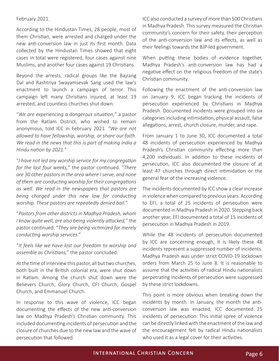#### February 2021.

According to the Hindustan Times, 28 people, most of them Christian, were arrested and charged under the new anti-conversion law in just its first month. Data collected by the Hindustan Times showed that eight cases in total were registered, four cases against nine Muslims, and another four cases against 19 Christians.

Beyond the arrests, radical groups like the Bajrang Dal and Rashtriya Swayamsevak Sang used the law's enactment to launch a campaign of terror. This campaign left many Christians injured, at least 19 arrested, and countless churches shut down.

"*We are experiencing a dangerous situation,*" a pastor from the Ratlam District, who wished to remain anonymous, told ICC in February 2021. "*We are not allowed to have fellowship, worship, or share our faith. We read in the news that this is part of making India a Hindu nation by 2021.*"

"*I have not led any worship service for my congregation for the last four weeks,*" the pastor continued. "*There are 30 other pastors in the area where I serve, and none of them are conducting worship for their congregations as well. We read in the newspapers that pastors are being charged under this new law for conducting worship. These pastors are repeatedly denied bail.*"

"*Pastors from other districts in Madhya Pradesh, whom I know quite well, are also being violently attacked,*" the pastor continued. "*They are being victimized for merely conducting worship services.*"

"*It feels like we have lost our freedom to worship and assemble as Christians,*" the pastor concluded.

At the time of interview this pastor, all but two churches, both built in the British colonial era, were shut down in Ratlam. Among the church shut down were the Believers Church, Glory Church, CFI Church, Gospel Church, and Emmanuel Church.

In response to this wave of violence, ICC began documenting the effects of the new anti-conversion law on Madhya Pradesh's Christian community. This included documenting incidents of persecution and the closure of churches due to the new law and the wave of persecution that followed.

ICC also conducted a survey of more than 500 Christians in Madhya Pradesh. This survey measured the Christian community's concern for their safety, their perception of the anti-conversion law and its effects, as well as their feelings towards the BJP-led government.

When putting these bodies of evidence together, Madhya Pradesh's anti-conversion law has had a negative effect on the religious freedom of the state's Christian community.

Following the enactment of the anti-conversion law on January 9, ICC began tracking the incidents of persecution experienced by Christians in Madhya Pradesh. Documented incidents were grouped into six categories including intimidation, physical assault, false allegations, arrest, church closure, murder, and rape.

From January 1 to June 30, ICC documented a total 48 incidents of persecution experienced by Madhya Pradesh's Christian community effecting more than 4,200 individuals. In addition to these incidents of persecution, ICC also documented the closure of at least 47 churches through direct intimidation or the general fear of the increasing violence.

The incidents documented by ICC show a clear increase in violence when compared to previous years. According to EFI, a total of 25 incidents of persecution were documented in Madhya Pradesh in 2020. Stepping back another year, EFI documented a total of 15 incidents of persecution in Madhya Pradesh in 2019.

While the 48 incidents of persecution documented by ICC are concerning enough, it is likely these 48 incidents represent a suppressed number of incidents. Madhya Pradesh was under strict COVID-19 lockdown orders from March 25 to June 8. It is reasonable to assume that the activities of radical Hindu nationalists perpetrating incidents of persecution were suppressed by these strict lockdowns.

This point is more obvious when breaking down the incidents by month. In January, the month the anticonversion law was enacted, ICC documented 25 incidents of persecution. This initial spree of violence can be directly linked with the enactment of the law and the encouragement felt by radical Hindu nationalists who used it as a legal cover for their activities.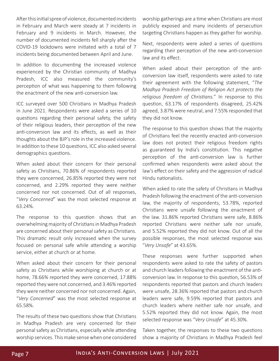After this initial spree of violence, documented incidents in February and March were steady at 7 incidents in February and 9 incidents in March. However, the number of documented incidents fell sharply after the COVID-19 lockdowns were initiated with a total of 7 incidents being documented between April and June.

In addition to documenting the increased violence experienced by the Christian community of Madhya Pradesh, ICC also measured the community's perception of what was happening to them following the enactment of the new anti-conversion law.

ICC surveyed over 500 Christians in Madhya Pradesh in June 2021. Respondents were asked a series of 10 questions regarding their personal safety, the safety of their religious leaders, their perception of the new anti-conversion law and its effects, as well as their thoughts about the BJP's role in the increased violence. In addition to these 10 questions, ICC also asked several demographics questions.

When asked about their concern for their personal safety as Christians, 70.86% of respondents reported they were concerned, 26.85% reported they were not concerned, and 2.29% reported they were neither concerned nor not concerned. Out of all responses, "*Very Concerned*" was the most selected response at 63.24%.

The response to this question shows that an overwhelming majority of Christians in Madhya Pradesh are concerned about their personal safety as Christians. This dramatic result only increased when the survey focused on personal safe while attending a worship service, either at church or at home.

When asked about their concern for their personal safety as Christians while worshiping at church or at home, 78.66% reported they were concerned, 17.88% reported they were not concerned, and 3.46% reported they were neither concerned nor not concerned. Again, "*Very Concerned*" was the most selected response at 65.58%.

The results of these two questions show that Christians in Madhya Pradesh are very concerned for their personal safety as Christians, especially while attending worship services. This make sense when one considered

worship gatherings are a time when Christians are most publicly exposed and many incidents of persecution targeting Christians happen as they gather for worship.

Next, respondents were asked a series of questions regarding their perception of the new anti-conversion law and its effect.

When asked about their perception of the anticonversion law itself, respondents were asked to rate their agreement with the following statement, "*The Madhya Pradesh Freedom of Religion Act protects the religious freedom of Christians.*" In response to this question, 63.17% of respondents disagreed, 25.42% agreed, 3.87% were neutral, and 7.55% responded that they did not know.

The response to this question shows that the majority of Christians feel the recently enacted anti-conversion law does not protect their religious freedom rights as guaranteed by India's constitution. This negative perception of the anti-conversion law is further confirmed when respondents were asked about the law's effect on their safety and the aggression of radical Hindu nationalists.

When asked to rate the safety of Christians in Madhya Pradesh following the enactment of the anti-conversion law, the majority of respondents, 53.78%, reported Christians were unsafe following the enactment of the law. 31.86% reported Christians were safe, 8.86% reported Christians were neither safe nor unsafe, and 5.52% reported they did not know. Out of all the possible responses, the most selected response was "*Very Unsafe*" at 43.65%.

These responses were further supported when respondents were asked to rate the safety of pastors and church leaders following the enactment of the anticonversion law. In response to this question, 56.53% of respondents reported that pastors and church leaders were unsafe, 28.36% reported that pastors and church leaders were safe, 9.59% reported that pastors and church leaders where neither safe nor unsafe, and 5.52% reported they did not know. Again, the most selected response was "*Very Unsafe*" at 45.30%.

Taken together, the responses to these two questions show a majority of Christians in Madhya Pradesh feel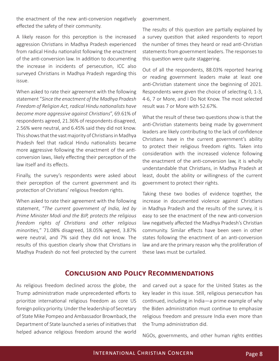the enactment of the new anti-conversion negatively effected the safety of their community.

A likely reason for this perception is the increased aggression Christians in Madhya Pradesh experienced from radical Hindu nationalist following the enactment of the anti-conversion law. In addition to documenting the increase in incidents of persecution, ICC also surveyed Christians in Madhya Pradesh regarding this issue.

When asked to rate their agreement with the following statement "*Since the enactment of the Madhya Pradesh Freedom of Religion Act, radical Hindu nationalists have become more aggressive against Christians*", 69.61% of respondents agreed, 21.36% of respondents disagreed, 2.56% were neutral, and 6.45% said they did not know. This shows that the vast majority of Christians in Madhya Pradesh feel that radical Hindu nationalists became more aggressive following the enactment of the anticonversion laws, likely effecting their perception of the law itself and its effects.

Finally, the survey's respondents were asked about their perception of the current government and its protection of Christians' religious freedom rights.

When asked to rate their agreement with the following statement, "*The current government of India, led by Prime Minister Modi and the BJP, protects the religious freedom rights of Christians and other religious minorities,*" 71.08% disagreed, 18.05% agreed, 3.87% were neutral, and 7% said they did not know. The results of this question clearly show that Christians in Madhya Pradesh do not feel protected by the current government.

The results of this question are partially explained by a survey question that asked respondents to report the number of times they heard or read anti-Christian statements from government leaders. The responses to this question were quite staggering.

Out of all the respondents, 88.03% reported hearing or reading government leaders make at least one anti-Christian statement since the beginning of 2021. Respondents were given the choice of selecting 0, 1-3, 4-6, 7 or More, and I Do Not Know. The most selected result was 7 or More with 52.67%.

What the result of these two questions show is that the anti-Christian statements being made by government leaders are likely contributing to the lack of confidence Christians have in the current government's ability to protect their religious freedom rights. Taken into consideration with the increased violence following the enactment of the anti-conversion law, it is wholly understandable that Christians, in Madhya Pradesh at least, doubt the ability or willingness of the current government to protect their rights.

Taking these two bodies of evidence together, the increase in documented violence against Christians in Madhya Pradesh and the results of the survey, it is easy to see the enactment of the new anti-conversion law negatively affected the Madhya Pradesh's Christian community. Similar effects have been seen in other states following the enactment of an anti-conversion law and are the primary reason why the proliferation of these laws must be curtailed.

#### **Conclusion and Policy Recommendations**

As religious freedom declined across the globe, the Trump administration made unprecedented efforts to prioritize international religious freedom as core US foreign policy priority. Under the leadership of Secretary of State Mike Pompeo and Ambassador Brownback, the Department of State launched a series of initiatives that helped advance religious freedom around the world

and carved out a space for the United States as the key leader in this issue. Still, religious persecution has continued, including in India—a prime example of why the Biden administration must continue to emphasize religious freedom and pressure India even more than the Trump administration did.

NGOs, governments, and other human rights entities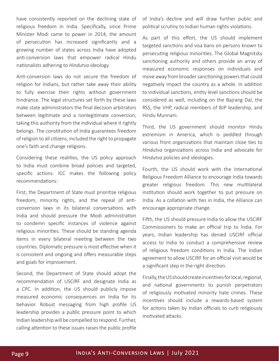have consistently reported on the declining state of religious freedom in India. Specifically, since Prime Minister Modi came to power in 2014, the amount of persecution has increased significantly and a growing number of states across India have adopted anti-conversion laws that empower radical Hindu nationalists adhering to *Hindutva* ideology.

Anti-conversion laws do not secure the freedom of religion for Indians, but rather take away their ability to fully exercise their rights without government hindrance. The legal structures set forth by these laws make state administrators the final decision arbitrators between legitimate and a nonlegitimate conversion, taking this authority from the individual where it rightly belongs. The constitution of India guarantees freedom of religion to all citizens, included the right to propagate one's faith and change religions.

Considering these realities, the US policy approach to India must combine broad policies and targeted, specific actions. ICC makes the following policy recommendations:

First, the Department of State must prioritize religious freedom, minority rights, and the repeal of anticonversion laws in its bilateral conversations with India and should pressure the Modi administration to condemn specific instances of violence against religious minorities. These should be standing agenda items in every bilateral meeting between the two countries. Diplomatic pressure is most effective when it is consistent and ongoing and offers measurable steps and goals for improvement.

Second, the Department of State should adopt the recommendation of USCIRF and designate India as a CPC. In addition, the US should publicly impose measured economic consequences on India for its behavior. Robust messaging from high profile US leadership provides a public pressure point to which Indian leadership will be compelled to respond. Further, calling attention to these issues raises the public profile

of India's decline and will draw further public and political scrutiny to Indian human rights violations.

As part of this effort, the US should implement targeted sanctions and visa bans on persons known to persecuting religious minorities. The Global Magnitsky sanctioning authority and others provide an array of measured economic responses on individuals and move away from broader sanctioning powers that could negatively impact the country as a whole. In addition to individual sanctions, entity level sanctions should be considered as well, including on the Bajrang Dal, the RSS, the VHP, radical members of BJP leadership, and Hindu Munnani.

Third, the US government should monitor Hindu extremism in America, which is peddled through various front organizations that maintain close ties to *Hindutva* organizations across India and advocate for *Hindutva* policies and ideologies.

Fourth, the US should work with the International Religious Freedom Alliance to encourage India towards greater religious freedom. This new multilateral institution should work together to put pressure on India. As a collation with ties in India, the Alliance can encourage appropriate change.

Fifth, the US should pressure India to allow the USCIRF Commissioners to make an official trip to India. For years, Indian leadership has denied USCIRF official access to India to conduct a comprehensive review of religious freedom conditions in India. The Indian agreement to allow USCIRF for an official visit would be a significant step in the right direction.

Finally, the US should create incentives for local, regional, and national governments to punish perpetrators of religiously motivated minority hate crimes. These incentives should include a rewards-based system for actions taken by Indian officials to curb religiously motivated attacks.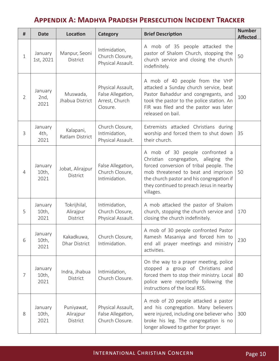# **Appendix A: Madhya Pradesh Persecution Incident Tracker**

| #              | <b>Date</b>                 | Location                              | Category                                                             | <b>Brief Description</b>                                                                                                                                                                                                                                        | <b>Number</b><br><b>Affected</b> |
|----------------|-----------------------------|---------------------------------------|----------------------------------------------------------------------|-----------------------------------------------------------------------------------------------------------------------------------------------------------------------------------------------------------------------------------------------------------------|----------------------------------|
| $\mathbf{1}$   | January<br>1st, 2021        | Manpur, Seoni<br>District             | Intimidation,<br>Church Closure,<br>Physical Assault.                | A mob of 35 people attacked the<br>pastor of Shalom Church, stopping the<br>church service and closing the church<br>indefinitely.                                                                                                                              | 50                               |
| $\overline{2}$ | January<br>2nd,<br>2021     | Muswada,<br>Jhabua District           | Physical Assault,<br>False Allegation,<br>Arrest, Church<br>Closure. | A mob of 40 people from the VHP<br>attacked a Sunday church service, beat<br>Pastor Bahaddur and congregants, and<br>took the pastor to the police station. An<br>FIR was filed and the pastor was later<br>released on bail.                                   | 100                              |
| 3              | January<br>4th,<br>2021     | Kalapani,<br>Ratlam District          | Church Closure,<br>Intimidation,<br>Physical Assault.                | Extremists attacked Christians during<br>worship and forced them to shut down<br>their church.                                                                                                                                                                  | 35                               |
| $\overline{4}$ | January<br>$10th$ ,<br>2021 | Jobat, Alirajpur<br>District          | False Allegation,<br>Church Closure,<br>Intimidation.                | A mob of 30 people confronted a<br>Christian congregation, alleging the<br>forced conversion of tribal people. The<br>mob threatened to beat and imprison<br>the church pastor and his congregation if<br>they continued to preach Jesus in nearby<br>villages. | 50                               |
| 5              | January<br>10th,<br>2021    | Tokrijhilal,<br>Alirajpur<br>District | Intimidation,<br>Church Closure,<br>Physical Assault.                | A mob attacked the pastor of Shalom<br>church, stopping the church service and<br>closing the church indefinitely.                                                                                                                                              | 170                              |
| 6              | January<br>10th,<br>2021    | Kakadkuwa,<br><b>Dhar District</b>    | Church Closure,<br>Intimidation.                                     | A mob of 30 people confronted Pastor<br>Ramesh Masaniya and forced him to<br>end all prayer meetings and ministry<br>activities.                                                                                                                                | 230                              |
| 7              | January<br>10th,<br>2021    | Indra, Jhabua<br>District             | Intimidation,<br>Church Closure.                                     | On the way to a prayer meeting, police<br>stopped a group of Christians and<br>forced them to stop their ministry. Local<br>police were reportedly following the<br>instructions of the local RSS.                                                              | 80                               |
| 8              | January<br>10th,<br>2021    | Puniyawat,<br>Alirajpur<br>District   | Physical Assault,<br>False Allegation,<br>Church Closure.            | A mob of 20 people attacked a pastor<br>and his congregation. Many believers<br>were injured, including one believer who<br>broke his leg. The congregation is no<br>longer allowed to gather for prayer.                                                       | 300                              |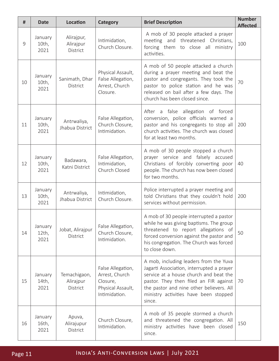| #  | <b>Date</b>              | <b>Location</b>                       | Category                                                                              | <b>Brief Description</b>                                                                                                                                                                                                                                               | <b>Number</b><br><b>Affected</b> |
|----|--------------------------|---------------------------------------|---------------------------------------------------------------------------------------|------------------------------------------------------------------------------------------------------------------------------------------------------------------------------------------------------------------------------------------------------------------------|----------------------------------|
| 9  | January<br>10th,<br>2021 | Alirajpur,<br>Alirajpur<br>District   | Intimidation,<br>Church Closure.                                                      | A mob of 30 people attacked a prayer<br>meeting and threatened Christians,<br>forcing them to close all<br>ministry<br>activities.                                                                                                                                     | 100                              |
| 10 | January<br>10th,<br>2021 | Sanimath, Dhar<br>District            | Physical Assault,<br>False Allegation,<br>Arrest, Church<br>Closure.                  | A mob of 50 people attacked a church<br>during a prayer meeting and beat the<br>pastor and congregants. They took the<br>pastor to police station and he was<br>released on bail after a few days. The<br>church has been closed since.                                |                                  |
| 11 | January<br>10th,<br>2021 | Antrwaliya,<br>Jhabua District        | False Allegation,<br>Church Closure,<br>Intimidation.                                 | After a false allegation of forced<br>conversion, police officials warned a<br>pastor and his congregants to stop all<br>church activities. The church was closed<br>for at least two months.                                                                          | 200                              |
| 12 | January<br>10th,<br>2021 | Badawara,<br>Katni District           | False Allegation,<br>Intimidation,<br>Church Closed                                   | A mob of 30 people stopped a church<br>prayer service and falsely accused<br>Christians of forcibly converting poor<br>people. The church has now been closed<br>for two months.                                                                                       | 40                               |
| 13 | January<br>10th,<br>2021 | Antrwaliya,<br>Jhabua District        | Intimidation,<br>Church Closure.                                                      | Police interrupted a prayer meeting and<br>told Christians that they couldn't hold<br>services without permission.                                                                                                                                                     | 200                              |
| 14 | January<br>12th,<br>2021 | Jobat, Alirajpur<br>District          | False Allegation,<br>Church Closure,<br>Intimidation.                                 | A mob of 30 people interrupted a pastor<br>while he was giving baptisms. The group<br>threatened to report allegations of<br>forced conversion against the pastor and<br>his congregation. The Church was forced<br>to close down.                                     | 50                               |
| 15 | January<br>14th,<br>2021 | Temachigaon,<br>Alirajpur<br>District | False Allegation,<br>Arrest, Church<br>Closure,<br>Physical Assault,<br>Intimidation. | A mob, including leaders from the Yuva<br>Jagarti Association, interrupted a prayer<br>service at a house church and beat the<br>pastor. They then filed an FIR against<br>the pastor and nine other believers. All<br>ministry activities have been stopped<br>since. | 70                               |
| 16 | January<br>16th,<br>2021 | Apuva,<br>Alirajupur<br>District      | Church Closure,<br>Intimidation.                                                      | A mob of 35 people stormed a church<br>and threatened the congregation. All<br>ministry activities have been closed<br>since.                                                                                                                                          | 150                              |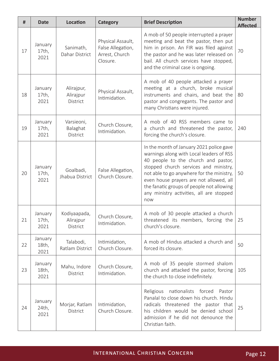| #  | <b>Date</b>              | Location                              | <b>Category</b>                                                      | <b>Brief Description</b>                                                                                                                                                                                                                                                                                                                                     | <b>Number</b><br><b>Affected</b> |
|----|--------------------------|---------------------------------------|----------------------------------------------------------------------|--------------------------------------------------------------------------------------------------------------------------------------------------------------------------------------------------------------------------------------------------------------------------------------------------------------------------------------------------------------|----------------------------------|
| 17 | January<br>17th,<br>2021 | Sanimath,<br>Dahar District           | Physical Assault,<br>False Allegation,<br>Arrest, Church<br>Closure. | A mob of 50 people interrupted a prayer<br>meeting and beat the pastor, then put<br>him in prison. An FIR was filed against<br>the pastor and he was later released on<br>bail. All church services have stopped,<br>and the criminal case is ongoing.                                                                                                       | 70                               |
| 18 | January<br>17th,<br>2021 | Alirajpur,<br>Alirajpur<br>District   | Physical Assault,<br>Intimidation.                                   | A mob of 40 people attacked a prayer<br>meeting at a church, broke musical<br>instruments and chairs, and beat the<br>pastor and congregants. The pastor and<br>many Christians were injured.                                                                                                                                                                |                                  |
| 19 | January<br>17th,<br>2021 | Varsieoni,<br>Balaghat<br>District    | Church Closure,<br>Intimidation.                                     | A mob of 40 RSS members came to<br>a church and threatened the pastor,<br>forcing the church's closure.                                                                                                                                                                                                                                                      | 240                              |
| 20 | January<br>17th,<br>2021 | Goalbadi,<br>Jhabua District          | False Allegation,<br>Church Closure.                                 | In the month of January 2021 police gave<br>warnings along with Local leaders of RSS<br>40 people to the church and pastor,<br>stopped church services and ministry,<br>not able to go anywhere for the ministry,<br>even house prayers are not allowed, all<br>the fanatic groups of people not allowing<br>any ministry activities, all are stopped<br>now | 50                               |
| 21 | January<br>17th,<br>2021 | Kodiyaapada,<br>Alirajpur<br>District | Church Closure,<br>Intimidation.                                     | A mob of 30 people attacked a church<br>threatened its members, forcing the<br>church's closure.                                                                                                                                                                                                                                                             | 25                               |
| 22 | January<br>18th,<br>2021 | Talabodi,<br>Ratlam District          | Intimidation,<br>Church Closure.                                     | A mob of Hindus attacked a church and<br>forced its closure.                                                                                                                                                                                                                                                                                                 | 50                               |
| 23 | January<br>18th,<br>2021 | Mahu, Indore<br>District              | Church Closure,<br>Intimidation.                                     | A mob of 35 people stormed shalom<br>church and attacked the pastor, forcing<br>the church to close indefinitely.                                                                                                                                                                                                                                            | 105                              |
| 24 | January<br>24th,<br>2021 | Morjar, Ratlam<br>District            | Intimidation,<br>Church Closure.                                     | Religious<br>nationalists forced Pastor<br>Panalal to close down his church. Hindu<br>radicals threatened the pastor that<br>his children would be denied school<br>admission if he did not denounce the<br>Christian faith.                                                                                                                                 | 25                               |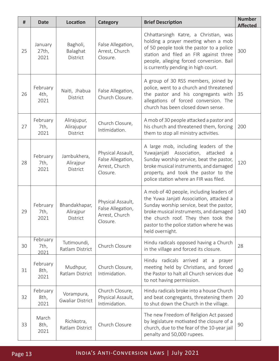| #  | <b>Date</b>              | Location                               | Category                                                             | <b>Brief Description</b>                                                                                                                                                                                                                                                          | <b>Number</b><br><b>Affected</b> |
|----|--------------------------|----------------------------------------|----------------------------------------------------------------------|-----------------------------------------------------------------------------------------------------------------------------------------------------------------------------------------------------------------------------------------------------------------------------------|----------------------------------|
| 25 | January<br>27th,<br>2021 | Bagholi,<br>Balaghat<br>District       | False Allegation,<br>Arrest, Church<br>Closure.                      | Chhattarsingh Katre, a Christian, was<br>holding a prayer meeting when a mob<br>of 50 people took the pastor to a police<br>station and filed an FIR against three<br>people, alleging forced conversion. Bail<br>is currently pending in high court.                             | 300                              |
| 26 | February<br>4th,<br>2021 | Naiti, Jhabua<br>District              | False Allegation,<br>Church Closure.                                 | A group of 30 RSS members, joined by<br>police, went to a church and threatened<br>the pastor and his congregants with<br>allegations of forced conversion. The<br>church has been closed down sense.                                                                             | 35                               |
| 27 | February<br>7th,<br>2021 | Alirajupur,<br>Alirajupur<br>District  | Church Closure,<br>Intimidation.                                     | A mob of 30 people attacked a pastor and<br>his church and threatened them, forcing<br>them to stop all ministry activities.                                                                                                                                                      | 200                              |
| 28 | February<br>7th,<br>2021 | Jambukhera,<br>Alirajpur<br>District   | Physical Assault,<br>False Allegation,<br>Arrest, Church<br>Closure. | A large mob, including leaders of the<br>Association,<br>Yuwajanjati<br>attacked<br>a<br>Sunday worship service, beat the pastor,<br>broke musical instruments, and damaged<br>property, and took the pastor to the<br>police station where an FIR was filed.                     | 120                              |
| 29 | February<br>7th,<br>2021 | Bhandakhapar,<br>Alirajpur<br>District | Physical Assault,<br>False Allegation,<br>Arrest, Church<br>Closure. | A mob of 40 people, including leaders of<br>the Yuwa Janjati Association, attacked a<br>Sunday worship service, beat the pastor,<br>broke musical instruments, and damaged<br>the church roof. They then took the<br>pastor to the police station where he was<br>held overnight. | 140                              |
| 30 | February<br>7th,<br>2021 | Tutimoundi,<br>Ratlam District         | Church Closure                                                       | Hindu radicals opposed having a Church<br>in the village and forced its closure.                                                                                                                                                                                                  | 28                               |
| 31 | February<br>8th,<br>2021 | Mudhpur,<br>Ratlam District            | Church Closure,<br>Intimidation.                                     | Hindu radicals arrived at a<br>prayer<br>meeting held by Christians, and forced<br>the Pastor to halt all Church services due<br>to not having permission.                                                                                                                        | 40                               |
| 32 | February<br>8th,<br>2021 | Vorampura,<br><b>Gwaliar District</b>  | Church Closure,<br>Physical Assault,<br>Intimidation.                | Hindu radicals broke into a house Church<br>and beat congregants, threatening them<br>to shut down the Church in the village.                                                                                                                                                     | 20                               |
| 33 | March<br>8th,<br>2021    | Richkotra,<br>Ratlam District          | Church Closure                                                       | The new Freedom of Religion Act passed<br>by legislature motivated the closure of a<br>church, due to the fear of the 10-year jail<br>penalty and 50,000 rupees.                                                                                                                  | 90                               |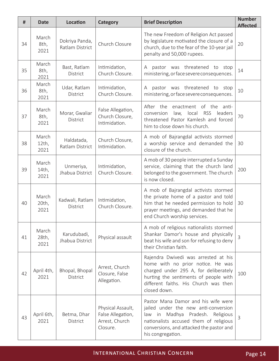| #  | <b>Date</b>               | Location                          | Category                                                             | <b>Brief Description</b>                                                                                                                                                                                                               | <b>Number</b><br><b>Affected</b> |
|----|---------------------------|-----------------------------------|----------------------------------------------------------------------|----------------------------------------------------------------------------------------------------------------------------------------------------------------------------------------------------------------------------------------|----------------------------------|
| 34 | March<br>8th,<br>2021     | Dokriya Panda,<br>Ratlam District | Church Closure                                                       | The new Freedom of Religion Act passed<br>by legislature motivated the closure of a<br>church, due to the fear of the 10-year jail<br>penalty and 50,000 rupees.                                                                       | 20                               |
| 35 | March<br>8th,<br>2021     | Bast, Ratlam<br>District          | Intimidation,<br>Church Closure.                                     | pastor was threatened to stop<br>A<br>ministering, or face severe consequences.                                                                                                                                                        | 14                               |
| 36 | March<br>8th,<br>2021     | Udar, Ratlam<br>District          | Intimidation,<br>Church Closure.                                     | pastor was threatened<br>Α<br>to stop<br>ministering, or face severe consequences.                                                                                                                                                     | 10                               |
| 37 | March<br>8th,<br>2021     | Morar, Gwaliar<br>District        | False Allegation,<br>Church Closure,<br>Intimidation.                | After the<br>enactment of the anti-<br>law, local RSS<br>leaders<br>conversion<br>threatened Pastor Kamlesh and forced<br>him to close down his church.                                                                                | 70                               |
| 38 | March<br>$12th$ ,<br>2021 | Haldatada,<br>Ratlam District     | Church Closure,<br>Intimidation.                                     | A mob of Bajrangdal activists stormed<br>a worship service and demanded the<br>closure of the church.                                                                                                                                  | 30                               |
| 39 | March<br>14th,<br>2021    | Unmeriya,<br>Jhabua District      | Intimidation,<br>Church Closure.                                     | A mob of 30 people interrupted a Sunday<br>service, claiming that the church land<br>belonged to the government. The church<br>is now closed.                                                                                          | 200                              |
| 40 | March<br>20th,<br>2021    | Kadwali, Ratlam<br>District       | Intimidation,<br>Church Closure.                                     | A mob of Bajrangdal activists stormed<br>the private home of a pastor and told<br>him that he needed permission to hold<br>prayer meetings, and demanded that he<br>end Church worship services.                                       | 30                               |
| 41 | March<br>28th,<br>2021    | Karudubadi,<br>Jhabua District    | Physical assault                                                     | A mob of religious nationalists stormed<br>Shankar Damor's house and physically<br>beat his wife and son for refusing to deny<br>their Christian faith.                                                                                | $\overline{3}$                   |
| 42 | April 4th,<br>2021        | Bhopal, Bhopal<br><b>District</b> | Arrest, Church<br>Closure, False<br>Allegation.                      | Rajendra Dwivedi was arrested at his<br>home with no prior notice. He was<br>charged under 295 A, for deliberately<br>hurting the sentiments of people with<br>different faiths. His Church was then<br>closed down.                   | 100                              |
| 43 | April 6th,<br>2021        | Betma, Dhar<br><b>District</b>    | Physical Assault,<br>False Allegation,<br>Arrest, Church<br>Closure. | Pastor Mana Damor and his wife were<br>jailed under the new anti-conversion<br>Madhya<br>Pradesh.<br>law<br>in<br>Religious<br>nationalists accused them of religious<br>conversions, and attacked the pastor and<br>his congregation. | 3                                |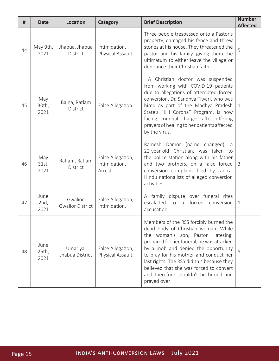| #  | <b>Date</b>           | <b>Location</b>                     | Category                                      | <b>Brief Description</b>                                                                                                                                                                                                                                                                                                                                                                           | <b>Number</b><br><b>Affected</b> |
|----|-----------------------|-------------------------------------|-----------------------------------------------|----------------------------------------------------------------------------------------------------------------------------------------------------------------------------------------------------------------------------------------------------------------------------------------------------------------------------------------------------------------------------------------------------|----------------------------------|
| 44 | May 9th,<br>2021      | Jhabua, Jhabua<br>District          | Intimidation,<br>Physical Assault.            | Three people trespassed onto a Pastor's<br>property, damaged his fence and threw<br>stones at his house. They threatened the<br>pastor and his family, giving them the<br>ultimatum to either leave the village or<br>denounce their Christian faith.                                                                                                                                              | 5                                |
| 45 | May<br>30th,<br>2021  | Bajna, Ratlam<br><b>District</b>    | False Allegation                              | A Christian doctor was suspended<br>from working with COVID-19 patients<br>due to allegations of attempted forced<br>conversion. Dr. Sandhya Tiwari, who was<br>hired as part of the Madhya Pradesh<br>State's "Kill Corona" Program, is now<br>facing criminal charges after offering<br>prayers of healing to her patients affected<br>by the virus.                                             | 1                                |
| 46 | May<br>31st,<br>2021  | Ratlam, Ratlam<br><b>District</b>   | False Allegation,<br>Intimidation,<br>Arrest. | Ramesh Damor (name changed), a<br>22-year-old Christian, was taken to<br>the police station along with his father<br>and two brothers, on a false forced<br>conversion complaint filed by radical<br>Hindu nationalists of alleged conversion<br>activities.                                                                                                                                       | 3                                |
| 47 | June<br>2nd,<br>2021  | Gwalior,<br><b>Gwalior District</b> | False Allegation,<br>Intimidation.            | A family dispute over funeral rites<br>escaladed to a<br>forced conversion<br>accusation.                                                                                                                                                                                                                                                                                                          | 1                                |
| 48 | June<br>26th,<br>2021 | Umariya,<br>Jhabua District         | False Allegation,<br>Physical Assault.        | Members of the RSS forcibly burned the<br>dead body of Christian woman. While<br>the woman's son, Pastor Hatesing,<br>prepared for her funeral, he was attacked<br>by a mob and denied the opportunity<br>to pray for his mother and conduct her<br>last rights. The RSS did this because they<br>believed that she was forced to convert<br>and therefore shouldn't be buried and<br>prayed over. | 5                                |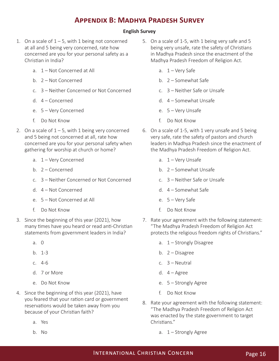# **Appendix B: Madhya Pradesh Survey**

#### **English Survey**

- 1. On a scale of  $1 5$ , with 1 being not concerned at all and 5 being very concerned, rate how concerned are you for your personal safety as a Christian in India?
	- a. 1 Not Concerned at All
	- b. 2 Not Concerned
	- c. 3 Neither Concerned or Not Concerned
	- d. 4 Concerned
	- e. 5 Very Concerned
	- f. Do Not Know
- 2. On a scale of  $1 5$ , with 1 being very concerned and 5 being not concerned at all, rate how concerned are you for your personal safety when gathering for worship at church or home?
	- a. 1 Very Concerned
	- b.  $2$  Concerned
	- c. 3 Neither Concerned or Not Concerned
	- d. 4 Not Concerned
	- e. 5 Not Concerned at All
	- f. Do Not Know
- 3. Since the beginning of this year (2021), how many times have you heard or read anti-Christian statements from government leaders in India?
	- a. 0
	- b. 1-3
	- c. 4-6
	- d. 7 or More
	- e. Do Not Know
- 4. Since the beginning of this year (2021), have you feared that your ration card or government reservations would be taken away from you because of your Christian faith?
	- a. Yes
	- b. No
- 5. On a scale of 1-5, with 1 being very safe and 5 being very unsafe, rate the safety of Christians in Madhya Pradesh since the enactment of the Madhya Pradesh Freedom of Religion Act.
	- a.  $1 -$  Very Safe
	- b. 2 Somewhat Safe
	- c. 3 Neither Safe or Unsafe
	- d. 4 Somewhat Unsafe
	- e. 5 Very Unsafe
	- f. Do Not Know
- 6. On a scale of 1-5, with 1 very unsafe and 5 being very safe, rate the safety of pastors and church leaders in Madhya Pradesh since the enactment of the Madhya Pradesh Freedom of Religion Act.
	- a. 1 Very Unsafe
	- b. 2 Somewhat Unsafe
	- c. 3 Neither Safe or Unsafe
	- d. 4 Somewhat Safe
	- e. 5 Very Safe
	- f. Do Not Know
- 7. Rate your agreement with the following statement: "The Madhya Pradesh Freedom of Religion Act protects the religious freedom rights of Christians."
	- a. 1 Strongly Disagree
	- b. 2 Disagree
	- c. 3 Neutral
	- d.  $4 \text{Agree}$
	- e. 5 Strongly Agree
	- f. Do Not Know
- 8. Rate your agreement with the following statement: "The Madhya Pradesh Freedom of Religion Act was enacted by the state government to target Christians."
	- a.  $1 -$  Strongly Agree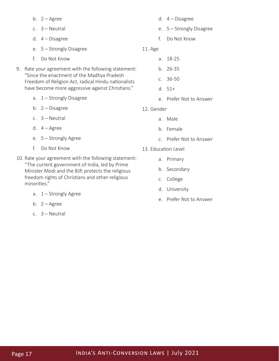|    |    | b. $2 - \text{Agree}$                                                                             |            |    | d. $4 - Disagree$        |
|----|----|---------------------------------------------------------------------------------------------------|------------|----|--------------------------|
|    |    | c. $3 - Neutral$                                                                                  |            |    | e. 5 - Strongly Disagree |
|    |    | d. $4 - Disagree$                                                                                 |            | f. | Do Not Know              |
|    |    | e. 5 - Strongly Disagree                                                                          | 11. Age    |    |                          |
|    | f. | Do Not Know                                                                                       |            | a. | 18-25                    |
| 9. |    | Rate your agreement with the following statement:                                                 |            |    | b. 26-35                 |
|    |    | "Since the enactment of the Madhya Pradesh<br>Freedom of Religion Act, radical Hindu nationalists |            |    | c. 36-50                 |
|    |    | have become more aggressive against Christians."                                                  |            |    | $d. 51+$                 |
|    |    | a. 1 - Strongly Disagree                                                                          |            |    | e. Prefer Not to Answer  |
|    |    | b. $2 - Disagree$                                                                                 | 12. Gender |    |                          |
|    |    | c. $3 - Neutral$                                                                                  |            |    | a. Male                  |
|    |    | d. $4 - \text{Agree}$                                                                             |            |    | b. Female                |
|    |    | e. 5 - Strongly Agree                                                                             |            |    | c. Prefer Not to Answer  |
|    | f. | Do Not Know                                                                                       |            |    | 13. Education Level      |
|    |    | 10. Rate your agreement with the following statement:                                             |            |    | a. Primary               |

- "The current government of India, led by Prime Minister Modi and the BJP, protects the religious freedom rights of Christians and other religious minorities."
	- a. 1 Strongly Agree
	- b.  $2 \text{Agree}$
	- c. 3 Neutral

## Page 17 **INDIA'S ANTI-CONVERSION LAWS | July 2021**

b. Secondary

d. University

e. Prefer Not to Answer

c. College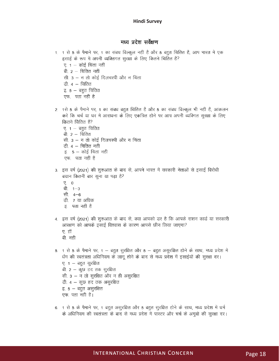#### मध्य प्रदेश सर्वेक्षण

- 1 1 से 5 के पैमाने पर, 1 का संबंध बिल्कूल नहीं है और 5 बहुत चिंतित हैं, आप भारत में एक इसाई के रूप में अपनी व्यक्तिगत सुरक्षा के लिए कितने चिंतित हैं?
	- ए. १ कोई चिंता नहीं बी.  $2 - \overline{a}$ तित नहीं
	- सी. 3 न तो कोई दिलचस्पी और न चिंता
	- डी. 4 चिंतित
	- <u>इ. 5 बहुत चिंतित</u>
	- एफ. पता नहीं है
- 2. 1से 5 के पैमाने पर, 1 का संबध बहुत चिंतित है और 5 का संबध बिल्कुल भी नहीं हैं, आंकलन करें कि चर्च या धर में आराधना के लिए एकत्रित होने पर आप अपनी व्यक्गित सुरक्षा के लिए कितने चिंतित हैं?
	- ए.  $1 \overline{q}$ हत चिंतित
	- बी.  $2 \overline{a}$ तित
	- सी. 3 न तो कोई दिलचस्पी और न चिंता
	- डी. 4 चिंतित नहीं
	- इ.  $5 -$  कोई चिंता नहीं
	- एफ. पता नहीं है
- 3. इस वर्ष (2021) की शुरूआत के बाद से, आपने भारत में सरकारी नेताओं से इसाई विरोधी बयान कितनी बार सूना या पढ़ा है?
	- $Q = Q$
	- बी. 1–3
	- सी. 4–6
	- डी. 7 या अधिक
	- इ. पता नहीं है
- 4. इस वर्ष (2021) की शुरूआत के बाद से, क्या आपको डर है कि आपके राशन कार्ड या सरकारी आरक्षण को आपके इसाई विश्वास के कारण आपसे छीन लिया जाएगा?
	- ए. हॉ
	- बी. नहीं
- 5. 1 से 5 के पैमाने पर, 1 बहुत सुरक्षित और 5 बहुत असुरक्षित होने के साथ, मध्य प्रदेश में र्धम की स्वतंत्रता अधिनियम के लागू होने के बाद से मध्य प्रदेश में इसाईयों की सुरक्षा दर। ए. 1 - बहुत सुरक्षित बी. 2 – कूछ हद तक सूरक्षित सी. 3 - न तो सुरक्षित और न ही असुरक्षित डी. 4 – कूछ हद तक असुरक्षित इ.  $5 -$  बहुत असूरक्षित एफ. पता नही है।
- 6. 1 से 5 के पैमाने पर, 1 बहुत असुरक्षित और 5 बहुत सुरक्षित होने के साथ, मध्य प्रदेश में धर्म के अधिनियम की स्वतंत्रता के बाद से मध्य प्रदेश में पास्टर और चर्च के अगुवो की सुरक्षा दर।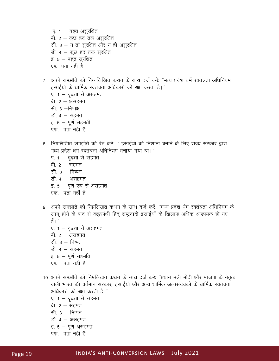ए. १ – बहुत असुरक्षित बी. 2 – कुछ हद तक असुरक्षित सी. 3 – न तो सुरक्षित और न ही असुरक्षित डी. 4 – कुछ हद तक सुरक्षित इ. 5 – बहुत सुरक्षित एफ. पता नही है।

- 7. अपने समझौते को निम्नलिखित कथन के साथ दर्ज करें: ''मध्य प्रदेश धर्म स्वतंत्रता अधिनियम इसाईयों के धार्मिक स्वतंत्रता अधिकारों की रक्षा करता है।'' ए. १ — दृढता से असहमत
	- बी. २ असहमत
	- सी 3 -निष्पक्ष
	- डी.  $4 \pi \bar{\pi}$ न
	- इ.  $5 \sqrt{2}$  सहमती
	- एफ. पता नहीं हैं
- 8. निम्नलिखित समझौते को रेट करें: '' इसाईयों को निशाना बनाने के लिए राज्य सरकार द्वारा मध्य प्रदेश धर्म स्वतंत्रता अधिनियम बनाया गया था।"
	- ए. १ दृढता से सहमत बी.  $2 - \pi \bar{\pi}$ न सी.  $3 - \overline{r}$ निष्पक्ष डी.  $4 - 31$ सहमत इ. 5 - पूर्ण रुप से असहमत एफ. पता नहीं हैं
- 9. अपने समझौते को निम्नलिखत कथन के साथ दर्ज करें: ''मध्य प्रदेश र्धम स्वतंत्रता अधिनियम के लागू होने के बाद से कइरपंथी हिंदू राष्ट्रवादी इसाईयों के खिलाफ अधिक आक्रामक हो गए हैं ।"
	- ए. 1 दृढता से असहमत बी. २ — असहमत सी  $3 - \overline{)}$ निष्पक्ष डी.  $4 - \pi \bar{\pi}$ न इ.  $5 - y$ र्ण सहमति एफ. पता नहीं हैं
- 10. अपने समझौते को निम्नलिखत कथन के साथ दर्ज करें: ''प्रधान मंत्री मोदी और भाजपा के नेतृत्व वाली भारत की वर्तमान सरकार, इसाईयों और अन्य धार्मिक अल्पसंख्यकों के धार्मिक स्वतंत्रता अधिकारों की रक्षा करती है।"
	- ए. १ दृढता से सहमत बी. २ – सहमत सी  $3 - \overline{)}$ निष्पक्ष
	- डी.  $4 3$ सहमत
	- इ.  $5 y\psi$  असहमत एफ. पता नहीं हैं
-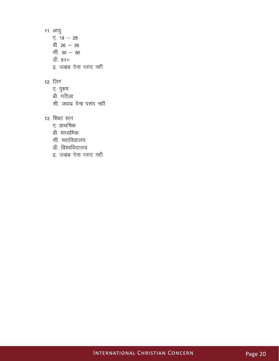11. आयु  $\P$ . 18 - 25 बी. 26 - 35 सी.  $36 - 50$ डी. 51+ इ. जवाब देना पसंद नहीं

#### 12. लिग

- ए. पुरुष
- बी. महिला
- सी जवाब देना पसंद नहीं
- 13. शिक्षा स्तर
	- ए. प्राथमिक
	- बी. माध्यमिक
	- सी. महाविद्यालय
	- डी. विश्वविद्यालय
	- इ. जवाब देना पसंद नहीं